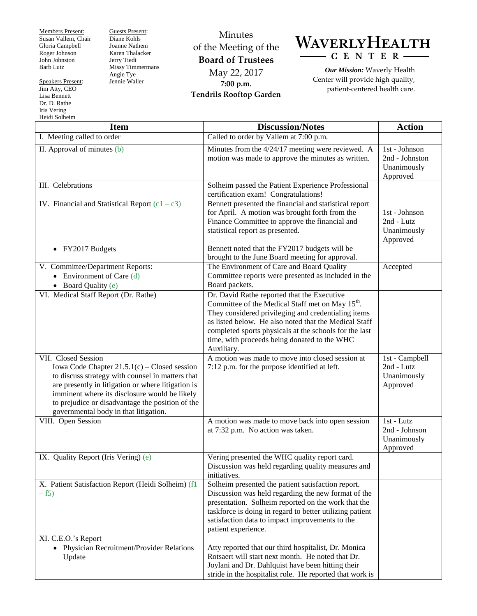Members Present: Susan Vallem, Chair Gloria Campbell Roger Johnson John Johnston Barb Lutz

Speakers Present: Jim Atty, CEO Lisa Bennett Dr. D. Rathe Iris Vering Heidi Solheim

Guests Present: Diane Kohls Joanne Nathem Karen Thalacker Jerry Tiedt Missy Timmermans Angie Tye Jennie Waller

Minutes of the Meeting of the **Board of Trustees** May 22, 2017 **7:00 p.m. Tendrils Rooftop Garden**

WAVERLYHEALTH  $-C E N T E R -$ 

*Our Mission:* Waverly Health Center will provide high quality, patient-centered health care.

| <b>Item</b>                                                                                                                                                                                                                                                                                                                   | <b>Discussion/Notes</b>                                                                                                                                                                                                                                                                                                                             | <b>Action</b>                                              |
|-------------------------------------------------------------------------------------------------------------------------------------------------------------------------------------------------------------------------------------------------------------------------------------------------------------------------------|-----------------------------------------------------------------------------------------------------------------------------------------------------------------------------------------------------------------------------------------------------------------------------------------------------------------------------------------------------|------------------------------------------------------------|
| I. Meeting called to order                                                                                                                                                                                                                                                                                                    | Called to order by Vallem at 7:00 p.m.                                                                                                                                                                                                                                                                                                              |                                                            |
| $\overline{II}$ . Approval of minutes (b)                                                                                                                                                                                                                                                                                     | Minutes from the 4/24/17 meeting were reviewed. A<br>motion was made to approve the minutes as written.                                                                                                                                                                                                                                             | 1st - Johnson<br>2nd - Johnston<br>Unanimously<br>Approved |
| III. Celebrations                                                                                                                                                                                                                                                                                                             | Solheim passed the Patient Experience Professional<br>certification exam! Congratulations!                                                                                                                                                                                                                                                          |                                                            |
| IV. Financial and Statistical Report $(c1 - c3)$<br>FY2017 Budgets<br>$\bullet$                                                                                                                                                                                                                                               | Bennett presented the financial and statistical report<br>for April. A motion was brought forth from the<br>Finance Committee to approve the financial and<br>statistical report as presented.<br>Bennett noted that the FY2017 budgets will be                                                                                                     | 1st - Johnson<br>2nd - Lutz<br>Unanimously<br>Approved     |
|                                                                                                                                                                                                                                                                                                                               | brought to the June Board meeting for approval.                                                                                                                                                                                                                                                                                                     |                                                            |
| V. Committee/Department Reports:<br>• Environment of Care $(d)$<br>• Board Quality (e)                                                                                                                                                                                                                                        | The Environment of Care and Board Quality<br>Committee reports were presented as included in the<br>Board packets.                                                                                                                                                                                                                                  | Accepted                                                   |
| VI. Medical Staff Report (Dr. Rathe)                                                                                                                                                                                                                                                                                          | Dr. David Rathe reported that the Executive<br>Committee of the Medical Staff met on May 15 <sup>th</sup> .<br>They considered privileging and credentialing items<br>as listed below. He also noted that the Medical Staff<br>completed sports physicals at the schools for the last<br>time, with proceeds being donated to the WHC<br>Auxiliary. |                                                            |
| VII. Closed Session<br>Iowa Code Chapter $21.5.1(c)$ – Closed session<br>to discuss strategy with counsel in matters that<br>are presently in litigation or where litigation is<br>imminent where its disclosure would be likely<br>to prejudice or disadvantage the position of the<br>governmental body in that litigation. | A motion was made to move into closed session at<br>7:12 p.m. for the purpose identified at left.                                                                                                                                                                                                                                                   | 1st - Campbell<br>2nd - Lutz<br>Unanimously<br>Approved    |
| VIII. Open Session                                                                                                                                                                                                                                                                                                            | A motion was made to move back into open session<br>at 7:32 p.m. No action was taken.                                                                                                                                                                                                                                                               | 1st - Lutz<br>2nd - Johnson<br>Unanimously<br>Approved     |
| IX. Quality Report (Iris Vering) (e)                                                                                                                                                                                                                                                                                          | Vering presented the WHC quality report card.<br>Discussion was held regarding quality measures and<br>initiatives.                                                                                                                                                                                                                                 |                                                            |
| X. Patient Satisfaction Report (Heidi Solheim) (f1<br>$-f5)$                                                                                                                                                                                                                                                                  | Solheim presented the patient satisfaction report.<br>Discussion was held regarding the new format of the<br>presentation. Solheim reported on the work that the<br>taskforce is doing in regard to better utilizing patient<br>satisfaction data to impact improvements to the<br>patient experience.                                              |                                                            |
| XI. C.E.O.'s Report<br>• Physician Recruitment/Provider Relations<br>Update                                                                                                                                                                                                                                                   | Atty reported that our third hospitalist, Dr. Monica<br>Rotsaert will start next month. He noted that Dr.<br>Joylani and Dr. Dahlquist have been hitting their<br>stride in the hospitalist role. He reported that work is                                                                                                                          |                                                            |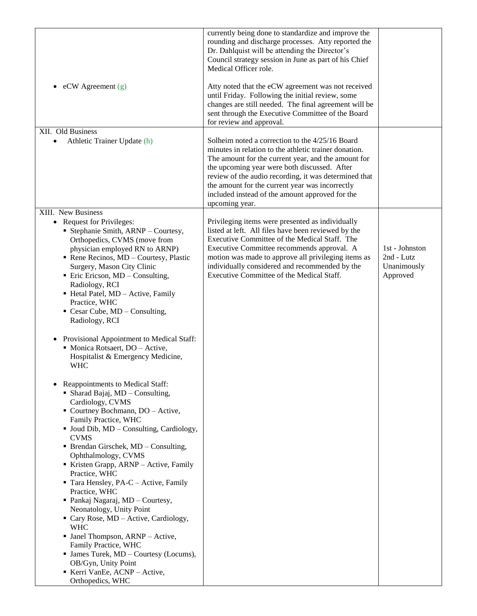|                                                                                                                                                                                                                                                                                                                                                                                                                                                                                                                                                                                                                                                                                                                      | currently being done to standardize and improve the<br>rounding and discharge processes. Atty reported the<br>Dr. Dahlquist will be attending the Director's<br>Council strategy session in June as part of his Chief<br>Medical Officer role.                                                                                                                                                   |                                                         |
|----------------------------------------------------------------------------------------------------------------------------------------------------------------------------------------------------------------------------------------------------------------------------------------------------------------------------------------------------------------------------------------------------------------------------------------------------------------------------------------------------------------------------------------------------------------------------------------------------------------------------------------------------------------------------------------------------------------------|--------------------------------------------------------------------------------------------------------------------------------------------------------------------------------------------------------------------------------------------------------------------------------------------------------------------------------------------------------------------------------------------------|---------------------------------------------------------|
| $eCW$ Agreement $(g)$<br>$\bullet$                                                                                                                                                                                                                                                                                                                                                                                                                                                                                                                                                                                                                                                                                   | Atty noted that the eCW agreement was not received<br>until Friday. Following the initial review, some<br>changes are still needed. The final agreement will be<br>sent through the Executive Committee of the Board<br>for review and approval.                                                                                                                                                 |                                                         |
| XII. Old Business<br>Athletic Trainer Update (h)<br>$\bullet$                                                                                                                                                                                                                                                                                                                                                                                                                                                                                                                                                                                                                                                        | Solheim noted a correction to the 4/25/16 Board<br>minutes in relation to the athletic trainer donation.<br>The amount for the current year, and the amount for<br>the upcoming year were both discussed. After<br>review of the audio recording, it was determined that<br>the amount for the current year was incorrectly<br>included instead of the amount approved for the<br>upcoming year. |                                                         |
| XIII. New Business                                                                                                                                                                                                                                                                                                                                                                                                                                                                                                                                                                                                                                                                                                   |                                                                                                                                                                                                                                                                                                                                                                                                  |                                                         |
| • Request for Privileges:<br>• Stephanie Smith, ARNP - Courtesy,<br>Orthopedics, CVMS (move from<br>physician employed RN to ARNP)<br>Rene Recinos, MD - Courtesy, Plastic<br>Surgery, Mason City Clinic<br>$\blacksquare$ Eric Ericson, MD – Consulting,<br>Radiology, RCI<br>Hetal Patel, MD - Active, Family<br>Practice, WHC<br>$\blacksquare$ Cesar Cube, MD – Consulting,                                                                                                                                                                                                                                                                                                                                      | Privileging items were presented as individually<br>listed at left. All files have been reviewed by the<br>Executive Committee of the Medical Staff. The<br>Executive Committee recommends approval. A<br>motion was made to approve all privileging items as<br>individually considered and recommended by the<br>Executive Committee of the Medical Staff.                                     | 1st - Johnston<br>2nd - Lutz<br>Unanimously<br>Approved |
| Radiology, RCI<br>Provisional Appointment to Medical Staff:<br>$\bullet$<br>• Monica Rotsaert, DO - Active,<br>Hospitalist & Emergency Medicine,<br><b>WHC</b>                                                                                                                                                                                                                                                                                                                                                                                                                                                                                                                                                       |                                                                                                                                                                                                                                                                                                                                                                                                  |                                                         |
| Reappointments to Medical Staff:<br>• Sharad Bajaj, MD - Consulting,<br>Cardiology, CVMS<br>• Courtney Bochmann, DO - Active,<br>Family Practice, WHC<br>• Joud Dib, MD – Consulting, Cardiology,<br><b>CVMS</b><br>$\blacksquare$ Brendan Girschek, MD – Consulting,<br>Ophthalmology, CVMS<br>Kristen Grapp, ARNP - Active, Family<br>Practice, WHC<br>Tara Hensley, PA-C - Active, Family<br>Practice, WHC<br>• Pankaj Nagaraj, MD - Courtesy,<br>Neonatology, Unity Point<br>• Cary Rose, MD – Active, Cardiology,<br><b>WHC</b><br>• Janel Thompson, ARNP - Active,<br>Family Practice, WHC<br>• James Turek, MD – Courtesy (Locums),<br>OB/Gyn, Unity Point<br>Kerri VanEe, ACNP - Active,<br>Orthopedics, WHC |                                                                                                                                                                                                                                                                                                                                                                                                  |                                                         |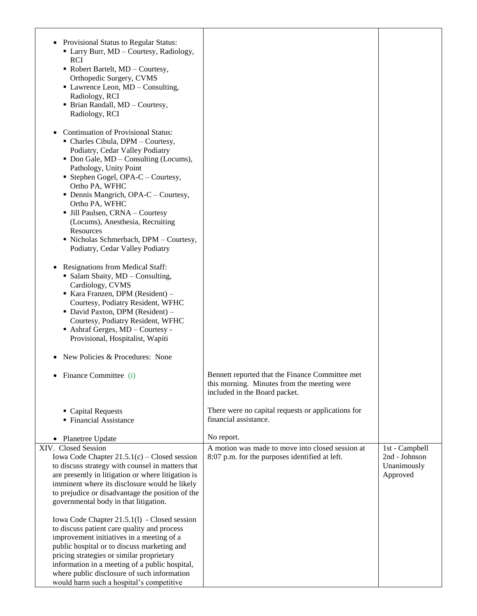| Provisional Status to Regular Status:<br>• Larry Burr, MD - Courtesy, Radiology,<br><b>RCI</b><br>• Robert Bartelt, MD - Courtesy,<br>Orthopedic Surgery, CVMS<br>• Lawrence Leon, MD – Consulting,<br>Radiology, RCI<br>• Brian Randall, MD - Courtesy,<br>Radiology, RCI                                                                                                                                                                                               |                                                                                                                                 |                         |
|--------------------------------------------------------------------------------------------------------------------------------------------------------------------------------------------------------------------------------------------------------------------------------------------------------------------------------------------------------------------------------------------------------------------------------------------------------------------------|---------------------------------------------------------------------------------------------------------------------------------|-------------------------|
| <b>Continuation of Provisional Status:</b><br>• Charles Cibula, DPM - Courtesy,<br>Podiatry, Cedar Valley Podiatry<br>• Don Gale, MD – Consulting (Locums),<br>Pathology, Unity Point<br>• Stephen Gogel, OPA-C – Courtesy,<br>Ortho PA, WFHC<br>• Dennis Mangrich, OPA-C – Courtesy,<br>Ortho PA, WFHC<br>• Jill Paulsen, CRNA - Courtesy<br>(Locums), Anesthesia, Recruiting<br>Resources<br>· Nicholas Schmerbach, DPM - Courtesy,<br>Podiatry, Cedar Valley Podiatry |                                                                                                                                 |                         |
| <b>Resignations from Medical Staff:</b>                                                                                                                                                                                                                                                                                                                                                                                                                                  |                                                                                                                                 |                         |
| • Salam Sbaity, MD - Consulting,<br>Cardiology, CVMS                                                                                                                                                                                                                                                                                                                                                                                                                     |                                                                                                                                 |                         |
| Kara Franzen, DPM (Resident) -                                                                                                                                                                                                                                                                                                                                                                                                                                           |                                                                                                                                 |                         |
| Courtesy, Podiatry Resident, WFHC                                                                                                                                                                                                                                                                                                                                                                                                                                        |                                                                                                                                 |                         |
| · David Paxton, DPM (Resident) -<br>Courtesy, Podiatry Resident, WFHC<br>$\blacksquare$ Ashraf Gerges, MD – Courtesy -<br>Provisional, Hospitalist, Wapiti                                                                                                                                                                                                                                                                                                               |                                                                                                                                 |                         |
| New Policies & Procedures: None                                                                                                                                                                                                                                                                                                                                                                                                                                          |                                                                                                                                 |                         |
| Finance Committee (i)                                                                                                                                                                                                                                                                                                                                                                                                                                                    | Bennett reported that the Finance Committee met<br>this morning. Minutes from the meeting were<br>included in the Board packet. |                         |
| • Capital Requests                                                                                                                                                                                                                                                                                                                                                                                                                                                       | There were no capital requests or applications for                                                                              |                         |
| • Financial Assistance                                                                                                                                                                                                                                                                                                                                                                                                                                                   | financial assistance.                                                                                                           |                         |
|                                                                                                                                                                                                                                                                                                                                                                                                                                                                          |                                                                                                                                 |                         |
| • Planetree Update                                                                                                                                                                                                                                                                                                                                                                                                                                                       | No report.                                                                                                                      |                         |
| XIV. Closed Session                                                                                                                                                                                                                                                                                                                                                                                                                                                      | A motion was made to move into closed session at                                                                                | 1st - Campbell          |
| Iowa Code Chapter $21.5.1(c)$ – Closed session                                                                                                                                                                                                                                                                                                                                                                                                                           | 8:07 p.m. for the purposes identified at left.                                                                                  | 2nd - Johnson           |
| to discuss strategy with counsel in matters that<br>are presently in litigation or where litigation is                                                                                                                                                                                                                                                                                                                                                                   |                                                                                                                                 | Unanimously<br>Approved |
| imminent where its disclosure would be likely                                                                                                                                                                                                                                                                                                                                                                                                                            |                                                                                                                                 |                         |
| to prejudice or disadvantage the position of the                                                                                                                                                                                                                                                                                                                                                                                                                         |                                                                                                                                 |                         |
| governmental body in that litigation.                                                                                                                                                                                                                                                                                                                                                                                                                                    |                                                                                                                                 |                         |
|                                                                                                                                                                                                                                                                                                                                                                                                                                                                          |                                                                                                                                 |                         |
| Iowa Code Chapter 21.5.1(1) - Closed session                                                                                                                                                                                                                                                                                                                                                                                                                             |                                                                                                                                 |                         |
| to discuss patient care quality and process<br>improvement initiatives in a meeting of a                                                                                                                                                                                                                                                                                                                                                                                 |                                                                                                                                 |                         |
| public hospital or to discuss marketing and                                                                                                                                                                                                                                                                                                                                                                                                                              |                                                                                                                                 |                         |
| pricing strategies or similar proprietary                                                                                                                                                                                                                                                                                                                                                                                                                                |                                                                                                                                 |                         |
| information in a meeting of a public hospital,                                                                                                                                                                                                                                                                                                                                                                                                                           |                                                                                                                                 |                         |
| where public disclosure of such information                                                                                                                                                                                                                                                                                                                                                                                                                              |                                                                                                                                 |                         |
| would harm such a hospital's competitive                                                                                                                                                                                                                                                                                                                                                                                                                                 |                                                                                                                                 |                         |